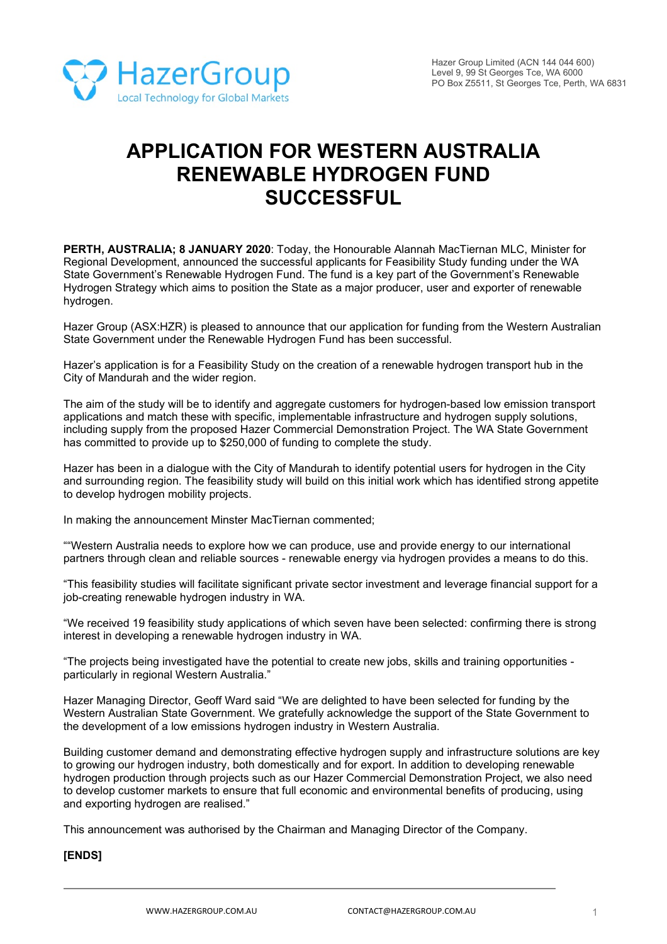

# **APPLICATION FOR WESTERN AUSTRALIA RENEWABLE HYDROGEN FUND SUCCESSFUL**

**PERTH, AUSTRALIA; 8 JANUARY 2020**: Today, the Honourable Alannah MacTiernan MLC, Minister for Regional Development, announced the successful applicants for Feasibility Study funding under the WA State Government's Renewable Hydrogen Fund. The fund is a key part of the Government's Renewable Hydrogen Strategy which aims to position the State as a major producer, user and exporter of renewable hydrogen.

Hazer Group (ASX:HZR) is pleased to announce that our application for funding from the Western Australian State Government under the Renewable Hydrogen Fund has been successful.

Hazer's application is for a Feasibility Study on the creation of a renewable hydrogen transport hub in the City of Mandurah and the wider region.

The aim of the study will be to identify and aggregate customers for hydrogen-based low emission transport applications and match these with specific, implementable infrastructure and hydrogen supply solutions, including supply from the proposed Hazer Commercial Demonstration Project. The WA State Government has committed to provide up to \$250,000 of funding to complete the study.

Hazer has been in a dialogue with the City of Mandurah to identify potential users for hydrogen in the City and surrounding region. The feasibility study will build on this initial work which has identified strong appetite to develop hydrogen mobility projects.

In making the announcement Minster MacTiernan commented;

""Western Australia needs to explore how we can produce, use and provide energy to our international partners through clean and reliable sources - renewable energy via hydrogen provides a means to do this.

"This feasibility studies will facilitate significant private sector investment and leverage financial support for a job-creating renewable hydrogen industry in WA.

"We received 19 feasibility study applications of which seven have been selected: confirming there is strong interest in developing a renewable hydrogen industry in WA.

"The projects being investigated have the potential to create new jobs, skills and training opportunities particularly in regional Western Australia."

Hazer Managing Director, Geoff Ward said "We are delighted to have been selected for funding by the Western Australian State Government. We gratefully acknowledge the support of the State Government to the development of a low emissions hydrogen industry in Western Australia.

Building customer demand and demonstrating effective hydrogen supply and infrastructure solutions are key to growing our hydrogen industry, both domestically and for export. In addition to developing renewable hydrogen production through projects such as our Hazer Commercial Demonstration Project, we also need to develop customer markets to ensure that full economic and environmental benefits of producing, using and exporting hydrogen are realised."

This announcement was authorised by the Chairman and Managing Director of the Company.

## **[ENDS]**